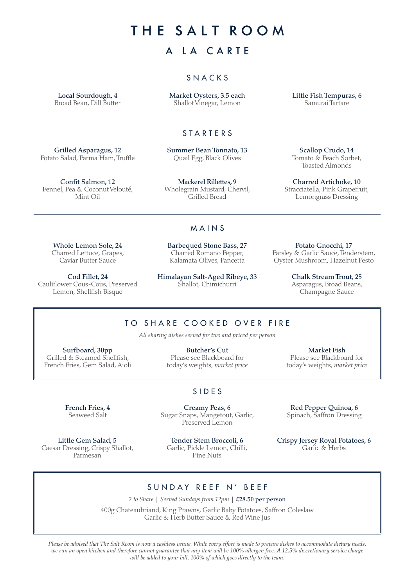THE SALT ROOM

# A LA CARTE

## SNACKS

Local Sourdough, 4 Broad Bean, Dill Butter Market Oysters, 3.5 each Shallot Vinegar, Lemon

Little Fish Tempuras, 6 Samurai Tartare

## STARTERS

Grilled Asparagus, 12 Potato Salad, Parma Ham, Truffle Summer Bean Tonnato, 13 Quail Egg, Black Olives

Fennel, Pea & Coconut Velouté, Mackerel Rillettes, 9 Wholegrain Mustard, Chervil, Grilled Bread

Scallop Crudo, 14 Tomato & Peach Sorbet, Toasted Almonds

Charred Artichoke, 10 Stracciatella, Pink Grapefruit, Lemongrass Dressing

#### Whole Lemon Sole, 24 Charred Lettuce, Grapes, Caviar Butter Sauce

Confit Salmon, 12

Mint Oil

Cod Fillet, 24 Cauliflower Cous-Cous, Preserved Lemon, Shellfish Bisque

Barbequed Stone Bass, 27 Charred Romano Pepper, Kalamata Olives, Pancetta

MAINS

Himalayan Salt-Aged Ribeye, 33 Shallot, Chimichurri

Potato Gnocchi, 17 Parsley & Garlic Sauce, Tenderstem, Oyster Mushroom, Hazelnut Pesto

> Chalk Stream Trout, 25 Asparagus, Broad Beans, Champagne Sauce

# TO SHARE COOKED OVER FIRE

*All sharing dishes served for two and priced per person*

Surfboard, 30pp Grilled & Steamed Shellfish, French Fries, Gem Salad, Aioli

> French Fries, 4 Seaweed Salt

Little Gem Salad, 5 Caesar Dressing, Crispy Shallot, Parmesan

Butcher's Cut Please see Blackboard for today's weights, *market price*

Market Fish Please see Blackboard for today's weights, *market price*

## SIDES

Creamy Peas, 6 Sugar Snaps, Mangetout, Garlic, Preserved Lemon

Tender Stem Broccoli, 6 Garlic, Pickle Lemon, Chilli, Pine Nuts

Red Pepper Quinoa, 6 Spinach, Saffron Dressing

Crispy Jersey Royal Potatoes, 6 Garlic & Herbs

## SUNDAY REEF N' BEEF

*2 to Share | Served Sundays from 12pm |* £28.50 per person

400g Chateaubriand, King Prawns, Garlic Baby Potatoes, Saffron Coleslaw Garlic & Herb Butter Sauce & Red Wine Jus

*Please be advised that The Salt Room is now a cashless venue. While every effort is made to prepare dishes to accommodate dietary needs, we run an open kitchen and therefore cannot guarantee that any item will be 100% allergen free. A 12.5% discretionary service charge will be added to your bill, 100% of which goes directly to the team.*